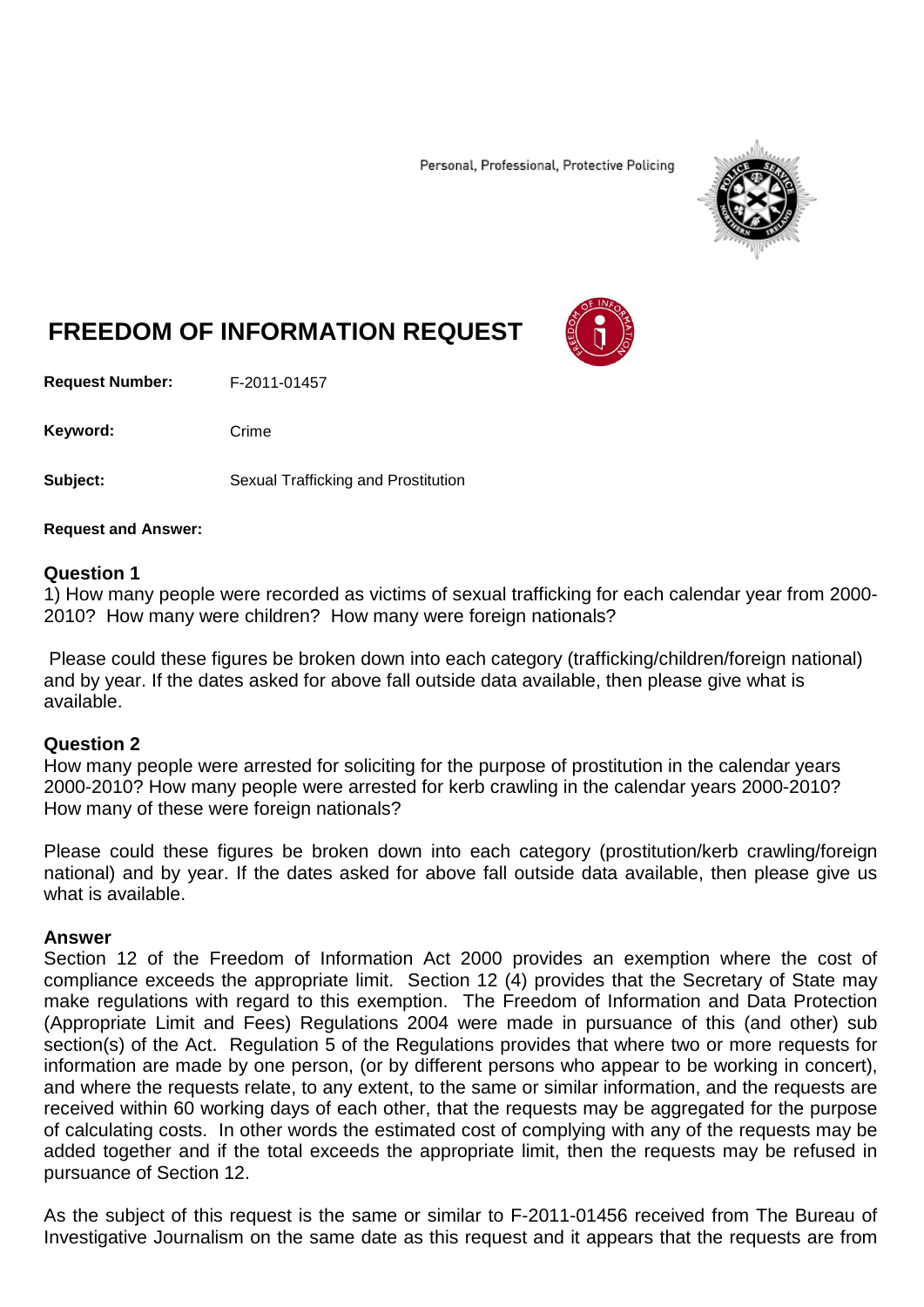Personal, Professional, Protective Policing



## **FREEDOM OF INFORMATION REQUEST**

**Request Number:** F-2011-01457

Keyword: Crime

**Subject:** Sexual Trafficking and Prostitution

**Request and Answer:**

## **Question 1**

1) How many people were recorded as victims of sexual trafficking for each calendar year from 2000- 2010? How many were children? How many were foreign nationals?

Please could these figures be broken down into each category (trafficking/children/foreign national) and by year. If the dates asked for above fall outside data available, then please give what is available.

## **Question 2**

How many people were arrested for soliciting for the purpose of prostitution in the calendar years 2000-2010? How many people were arrested for kerb crawling in the calendar years 2000-2010? How many of these were foreign nationals?

Please could these figures be broken down into each category (prostitution/kerb crawling/foreign national) and by year. If the dates asked for above fall outside data available, then please give us what is available.

## **Answer**

Section 12 of the Freedom of Information Act 2000 provides an exemption where the cost of compliance exceeds the appropriate limit. Section 12 (4) provides that the Secretary of State may make regulations with regard to this exemption. The Freedom of Information and Data Protection (Appropriate Limit and Fees) Regulations 2004 were made in pursuance of this (and other) sub section(s) of the Act. Regulation 5 of the Regulations provides that where two or more requests for information are made by one person, (or by different persons who appear to be working in concert), and where the requests relate, to any extent, to the same or similar information, and the requests are received within 60 working days of each other, that the requests may be aggregated for the purpose of calculating costs. In other words the estimated cost of complying with any of the requests may be added together and if the total exceeds the appropriate limit, then the requests may be refused in pursuance of Section 12.

As the subject of this request is the same or similar to F-2011-01456 received from The Bureau of Investigative Journalism on the same date as this request and it appears that the requests are from